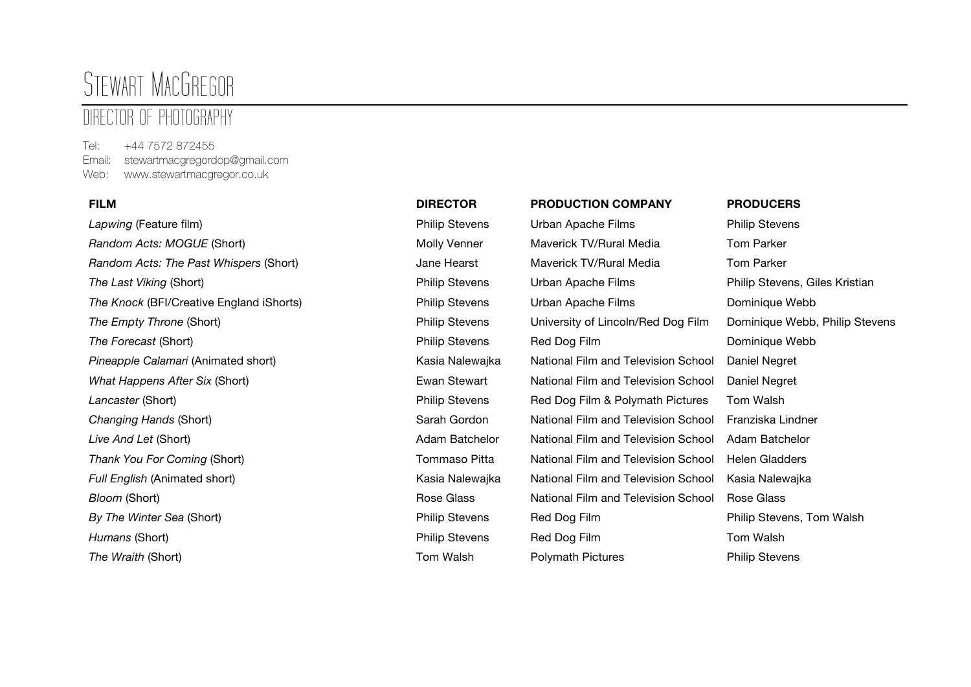# STEWART MACGREGOR

# DIRECTOR OF PHOTOGRAPHY

Tel: +44 7572 872455 Email: stewartmacgregordop@gmail.com Web: www.stewartmacgregor.co.uk

*Lapwing* (Feature film) Philip Stevens Urban Apache Films Philip Stevens **Random Acts: MOGUE (Short)** Molly Venner Mayerick TV/Rural Media Tom Parker *Random Acts: The Past Whispers* (Short) Jane Hearst Maverick TV/Rural Media Tom Parker *The Last Viking* (Short) Philip Stevens Urban Apache Films Philip Stevens, Giles Kristian *The Knock* (BFI/Creative England iShorts) Philip Stevens Urban Apache Films Dominique Webb *The Empty Throne* (Short) Philip Stevens University of Lincoln/Red Dog Film Dominique Webb, Philip Stevens *The Forecast* (Short) Philip Stevens Red Dog Film Dominique Webb *Pineapple Calamari* (Animated short) Kasia Nalewajka National Film and Television School Daniel Negret *What Happens After Six* (Short) Ewan Stewart National Film and Television School Daniel Negret **Lancaster** (Short) **Philip Stevens** Red Dog Film & Polymath Pictures Tom Walsh *Changing Hands* (Short) Sarah Gordon National Film and Television School Franziska Lindner *Live And Let* (Short) Adam Batchelor National Film and Television School Adam Batchelor *Thank You For Coming* (Short) Tommaso Pitta National Film and Television School Helen Gladders *Full English* (Animated short) Kasia Nalewajka National Film and Television School Kasia Nalewajka **Bloom (Short) Rose Glass** Rose Glass **National Film and Television School Rose Glass** Report Assessment Rose Glass Report Assessment Rose Glass Assessment Rose Glass Assessment Rose Glass Assessment Rose Glass Assessmen **By The Winter Sea (Short) Philip Stevens** Philip Stevens Red Dog Film Philip Stevens, Tom Walsh **Humans** (Short) **Philip Stevens** Red Dog Film Tom Walsh

# **FILM DIRECTOR PRODUCTION COMPANY PRODUCERS The Wraith (Short)** The Wraith (Short) **The Wraith (Short) Philip Stevens Polymath Pictures** Philip Stevens